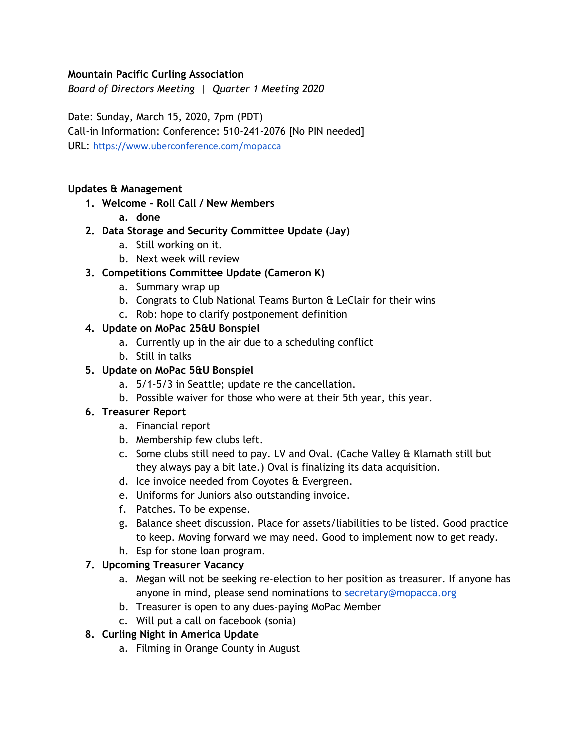### **Mountain Pacific Curling Association**

*Board of Directors Meeting | Quarter 1 Meeting 2020*

Date: Sunday, March 15, 2020, 7pm (PDT) Call-in Information: Conference: 510-241-2076 [No PIN needed] URL: <https://www.uberconference.com/mopacca>

#### **Updates & Management**

- **1. Welcome - Roll Call / New Members**
	- **a. done**
- **2. Data Storage and Security Committee Update (Jay)**
	- a. Still working on it.
	- b. Next week will review

### **3. Competitions Committee Update (Cameron K)**

- a. Summary wrap up
- b. Congrats to Club National Teams Burton & LeClair for their wins
- c. Rob: hope to clarify postponement definition

### **4. Update on MoPac 25&U Bonspiel**

- a. Currently up in the air due to a scheduling conflict
- b. Still in talks

### **5. Update on MoPac 5&U Bonspiel**

- a. 5/1-5/3 in Seattle; update re the cancellation.
- b. Possible waiver for those who were at their 5th year, this year.

### **6. Treasurer Report**

- a. Financial report
- b. Membership few clubs left.
- c. Some clubs still need to pay. LV and Oval. (Cache Valley & Klamath still but they always pay a bit late.) Oval is finalizing its data acquisition.
- d. Ice invoice needed from Coyotes & Evergreen.
- e. Uniforms for Juniors also outstanding invoice.
- f. Patches. To be expense.
- g. Balance sheet discussion. Place for assets/liabilities to be listed. Good practice to keep. Moving forward we may need. Good to implement now to get ready.
- h. Esp for stone loan program.

### **7. Upcoming Treasurer Vacancy**

- a. Megan will not be seeking re-election to her position as treasurer. If anyone has anyone in mind, please send nominations to secretary@mopacca.org
- b. Treasurer is open to any dues-paying MoPac Member
- c. Will put a call on facebook (sonia)

#### **8. Curling Night in America Update**

a. Filming in Orange County in August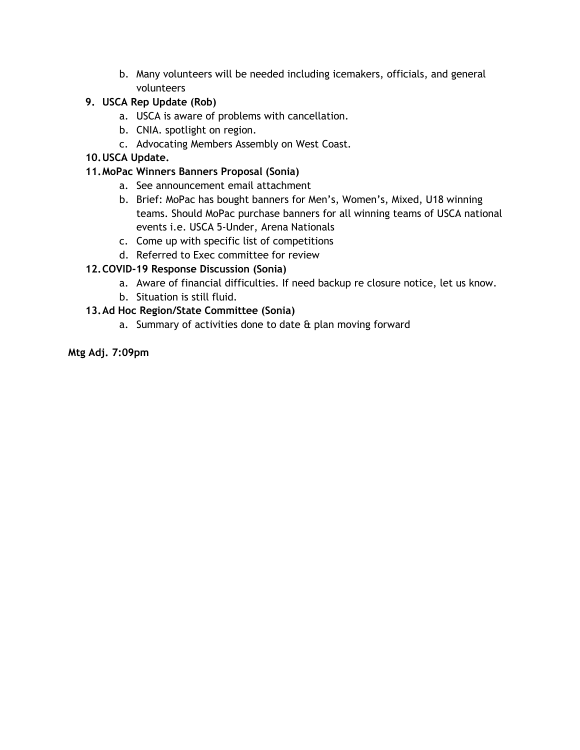b. Many volunteers will be needed including icemakers, officials, and general volunteers

### **9. USCA Rep Update (Rob)**

- a. USCA is aware of problems with cancellation.
- b. CNIA. spotlight on region.
- c. Advocating Members Assembly on West Coast.

### **10.USCA Update.**

### **11.MoPac Winners Banners Proposal (Sonia)**

- a. See announcement email attachment
- b. Brief: MoPac has bought banners for Men's, Women's, Mixed, U18 winning teams. Should MoPac purchase banners for all winning teams of USCA national events i.e. USCA 5-Under, Arena Nationals
- c. Come up with specific list of competitions
- d. Referred to Exec committee for review

## **12.COVID-19 Response Discussion (Sonia)**

- a. Aware of financial difficulties. If need backup re closure notice, let us know.
- b. Situation is still fluid.

### **13.Ad Hoc Region/State Committee (Sonia)**

a. Summary of activities done to date & plan moving forward

### **Mtg Adj. 7:09pm**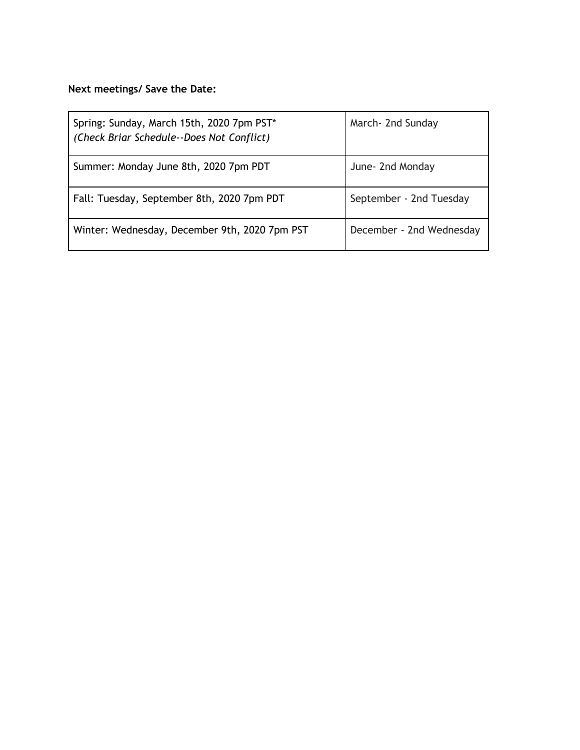# **Next meetings/ Save the Date:**

| Spring: Sunday, March 15th, 2020 7pm PST*<br>(Check Briar Schedule--Does Not Conflict) | March- 2nd Sunday        |
|----------------------------------------------------------------------------------------|--------------------------|
| Summer: Monday June 8th, 2020 7pm PDT                                                  | June- 2nd Monday         |
| Fall: Tuesday, September 8th, 2020 7pm PDT                                             | September - 2nd Tuesday  |
| Winter: Wednesday, December 9th, 2020 7pm PST                                          | December - 2nd Wednesday |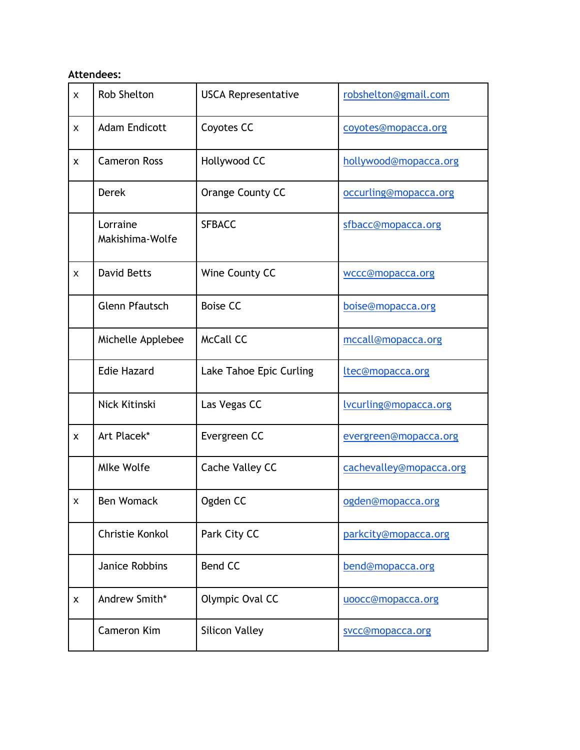## **Attendees:**

| $\pmb{\times}$            | <b>Rob Shelton</b>          | <b>USCA Representative</b> | robshelton@gmail.com    |
|---------------------------|-----------------------------|----------------------------|-------------------------|
| X                         | <b>Adam Endicott</b>        | Coyotes CC                 | coyotes@mopacca.org     |
| X                         | <b>Cameron Ross</b>         | Hollywood CC               | hollywood@mopacca.org   |
|                           | <b>Derek</b>                | Orange County CC           | occurling@mopacca.org   |
|                           | Lorraine<br>Makishima-Wolfe | <b>SFBACC</b>              | sfbacc@mopacca.org      |
| X                         | <b>David Betts</b>          | Wine County CC             | wccc@mopacca.org        |
|                           | <b>Glenn Pfautsch</b>       | <b>Boise CC</b>            | boise@mopacca.org       |
|                           | Michelle Applebee           | <b>McCall CC</b>           | mccall@mopacca.org      |
|                           | <b>Edie Hazard</b>          | Lake Tahoe Epic Curling    | ltec@mopacca.org        |
|                           | Nick Kitinski               | Las Vegas CC               | lvcurling@mopacca.org   |
| $\boldsymbol{\mathsf{x}}$ | Art Placek*                 | Evergreen CC               | evergreen@mopacca.org   |
|                           | <b>Mlke Wolfe</b>           | Cache Valley CC            | cachevalley@mopacca.org |
| X                         | <b>Ben Womack</b>           | Ogden CC                   | ogden@mopacca.org       |
|                           | Christie Konkol             | Park City CC               | parkcity@mopacca.org    |
|                           | Janice Robbins              | <b>Bend CC</b>             | bend@mopacca.org        |
| X                         | Andrew Smith*               | Olympic Oval CC            | uoocc@mopacca.org       |
|                           | <b>Cameron Kim</b>          | <b>Silicon Valley</b>      | svcc@mopacca.org        |